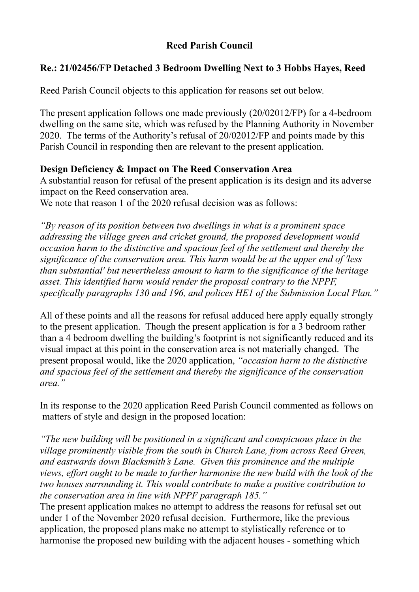# **Reed Parish Council**

# **Re.: 21/02456/FP Detached 3 Bedroom Dwelling Next to 3 Hobbs Hayes, Reed**

Reed Parish Council objects to this application for reasons set out below.

The present application follows one made previously (20/02012/FP) for a 4-bedroom dwelling on the same site, which was refused by the Planning Authority in November 2020. The terms of the Authority's refusal of 20/02012/FP and points made by this Parish Council in responding then are relevant to the present application.

## **Design Deficiency & Impact on The Reed Conservation Area**

A substantial reason for refusal of the present application is its design and its adverse impact on the Reed conservation area.

We note that reason 1 of the 2020 refusal decision was as follows:

*"By reason of its position between two dwellings in what is a prominent space addressing the village green and cricket ground, the proposed development would occasion harm to the distinctive and spacious feel of the settlement and thereby the significance of the conservation area. This harm would be at the upper end of 'less than substantial' but nevertheless amount to harm to the significance of the heritage asset. This identified harm would render the proposal contrary to the NPPF, specifically paragraphs 130 and 196, and polices HE1 of the Submission Local Plan."*

All of these points and all the reasons for refusal adduced here apply equally strongly to the present application. Though the present application is for a 3 bedroom rather than a 4 bedroom dwelling the building's footprint is not significantly reduced and its visual impact at this point in the conservation area is not materially changed. The present proposal would, like the 2020 application, *"occasion harm to the distinctive and spacious feel of the settlement and thereby the significance of the conservation area."* 

In its response to the 2020 application Reed Parish Council commented as follows on matters of style and design in the proposed location:

*"The new building will be positioned in a significant and conspicuous place in the village prominently visible from the south in Church Lane, from across Reed Green, and eastwards down Blacksmith's Lane. Given this prominence and the multiple views, effort ought to be made to further harmonise the new build with the look of the two houses surrounding it. This would contribute to make a positive contribution to the conservation area in line with NPPF paragraph 185."* 

The present application makes no attempt to address the reasons for refusal set out under 1 of the November 2020 refusal decision. Furthermore, like the previous application, the proposed plans make no attempt to stylistically reference or to harmonise the proposed new building with the adjacent houses - something which